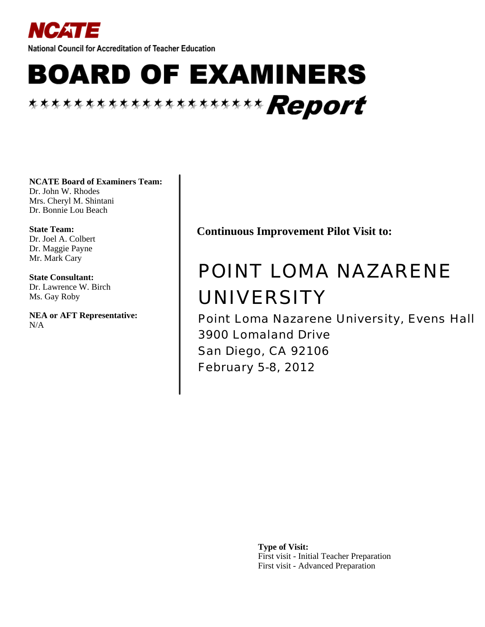

National Council for Accreditation of Teacher Education

# **BOARD OF EXAMINERS** \*\*\*\*\*\*\*\*\*\*\*\*\*\*\*\*\*\*\*\*\*\* Report

**NCATE Board of Examiners Team:**

Dr. John W. Rhodes Mrs. Cheryl M. Shintani Dr. Bonnie Lou Beach

**State Team:** Dr. Joel A. Colbert Dr. Maggie Payne Mr. Mark Cary

**State Consultant:** Dr. Lawrence W. Birch Ms. Gay Roby

**NEA or AFT Representative:** N/A

**Continuous Improvement Pilot Visit to:**

# POINT LOMA NAZARENE UNIVERSITY

Point Loma Nazarene University, Evens Hall 3900 Lomaland Drive San Diego, CA 92106 February 5-8, 2012

> **Type of Visit:** First visit - Initial Teacher Preparation First visit - Advanced Preparation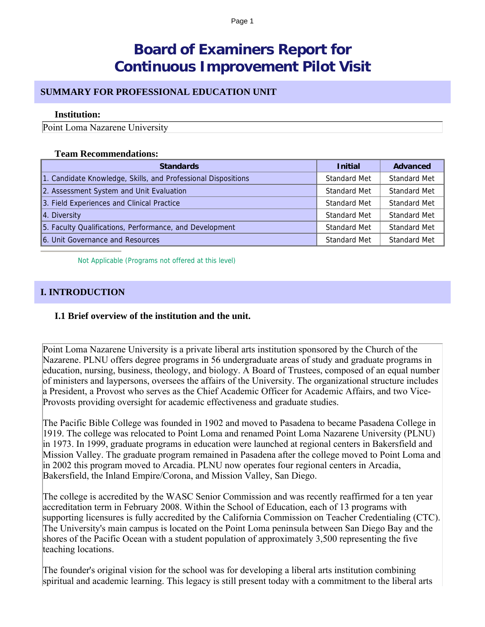# **Board of Examiners Report for Continuous Improvement Pilot Visit**

# **SUMMARY FOR PROFESSIONAL EDUCATION UNIT**

#### **Institution:**

Point Loma Nazarene University

#### **Team Recommendations:**

| <b>Standards</b>                                              | <b>Initial</b> | Advanced            |
|---------------------------------------------------------------|----------------|---------------------|
| 1. Candidate Knowledge, Skills, and Professional Dispositions | Standard Met   | Standard Met        |
| 2. Assessment System and Unit Evaluation                      | Standard Met   | <b>Standard Met</b> |
| 3. Field Experiences and Clinical Practice                    | Standard Met   | <b>Standard Met</b> |
| 4. Diversity                                                  | Standard Met   | Standard Met        |
| 5. Faculty Qualifications, Performance, and Development       | Standard Met   | <b>Standard Met</b> |
| 6. Unit Governance and Resources                              | Standard Met   | Standard Met        |

Not Applicable (Programs not offered at this level)

# **I. INTRODUCTION**

# **I.1 Brief overview of the institution and the unit.**

Point Loma Nazarene University is a private liberal arts institution sponsored by the Church of the Nazarene. PLNU offers degree programs in 56 undergraduate areas of study and graduate programs in education, nursing, business, theology, and biology. A Board of Trustees, composed of an equal number of ministers and laypersons, oversees the affairs of the University. The organizational structure includes a President, a Provost who serves as the Chief Academic Officer for Academic Affairs, and two Vice-Provosts providing oversight for academic effectiveness and graduate studies.

The Pacific Bible College was founded in 1902 and moved to Pasadena to became Pasadena College in 1919. The college was relocated to Point Loma and renamed Point Loma Nazarene University (PLNU) in 1973. In 1999, graduate programs in education were launched at regional centers in Bakersfield and Mission Valley. The graduate program remained in Pasadena after the college moved to Point Loma and in 2002 this program moved to Arcadia. PLNU now operates four regional centers in Arcadia, Bakersfield, the Inland Empire/Corona, and Mission Valley, San Diego.

The college is accredited by the WASC Senior Commission and was recently reaffirmed for a ten year accreditation term in February 2008. Within the School of Education, each of 13 programs with supporting licensures is fully accredited by the California Commission on Teacher Credentialing (CTC). The University's main campus is located on the Point Loma peninsula between San Diego Bay and the shores of the Pacific Ocean with a student population of approximately 3,500 representing the five teaching locations.

The founder's original vision for the school was for developing a liberal arts institution combining spiritual and academic learning. This legacy is still present today with a commitment to the liberal arts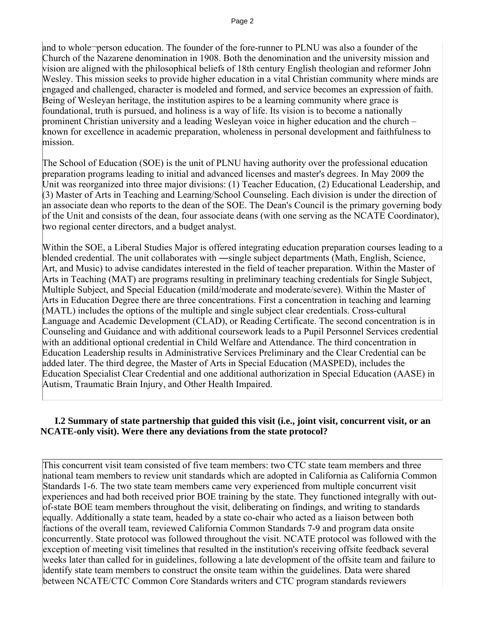and to whole-person education. The founder of the fore-runner to PLNU was also a founder of the Church of the Nazarene denomination in 1908. Both the denomination and the university mission and vision are aligned with the philosophical beliefs of 18th century English theologian and reformer John Wesley. This mission seeks to provide higher education in a vital Christian community where minds are engaged and challenged, character is modeled and formed, and service becomes an expression of faith. Being of Wesleyan heritage, the institution aspires to be a learning community where grace is foundational, truth is pursued, and holiness is a way of life. Its vision is to become a nationally prominent Christian university and a leading Wesleyan voice in higher education and the church – known for excellence in academic preparation, wholeness in personal development and faithfulness to mission.

The School of Education (SOE) is the unit of PLNU having authority over the professional education preparation programs leading to initial and advanced licenses and master's degrees. In May 2009 the Unit was reorganized into three major divisions: (1) Teacher Education, (2) Educational Leadership, and (3) Master of Arts in Teaching and Learning/School Counseling. Each division is under the direction of an associate dean who reports to the dean of the SOE. The Dean's Council is the primary governing body of the Unit and consists of the dean, four associate deans (with one serving as the NCATE Coordinator), two regional center directors, and a budget analyst.

Within the SOE, a Liberal Studies Major is offered integrating education preparation courses leading to a blended credential. The unit collaborates with ―single subject departments (Math, English, Science, Art, and Music) to advise candidates interested in the field of teacher preparation. Within the Master of Arts in Teaching (MAT) are programs resulting in preliminary teaching credentials for Single Subject, Multiple Subject, and Special Education (mild/moderate and moderate/severe). Within the Master of Arts in Education Degree there are three concentrations. First a concentration in teaching and learning (MATL) includes the options of the multiple and single subject clear credentials. Cross-cultural Language and Academic Development (CLAD), or Reading Certificate. The second concentration is in Counseling and Guidance and with additional coursework leads to a Pupil Personnel Services credential with an additional optional credential in Child Welfare and Attendance. The third concentration in Education Leadership results in Administrative Services Preliminary and the Clear Credential can be added later. The third degree, the Master of Arts in Special Education (MASPED), includes the Education Specialist Clear Credential and one additional authorization in Special Education (AASE) in Autism, Traumatic Brain Injury, and Other Health Impaired.

# **I.2 Summary of state partnership that guided this visit (i.e., joint visit, concurrent visit, or an NCATE-only visit). Were there any deviations from the state protocol?**

This concurrent visit team consisted of five team members: two CTC state team members and three national team members to review unit standards which are adopted in California as California Common Standards 1-6. The two state team members came very experienced from multiple concurrent visit experiences and had both received prior BOE training by the state. They functioned integrally with outof-state BOE team members throughout the visit, deliberating on findings, and writing to standards equally. Additionally a state team, headed by a state co-chair who acted as a liaison between both factions of the overall team, reviewed California Common Standards 7-9 and program data onsite concurrently. State protocol was followed throughout the visit. NCATE protocol was followed with the exception of meeting visit timelines that resulted in the institution's receiving offsite feedback several weeks later than called for in guidelines, following a late development of the offsite team and failure to identify state team members to construct the onsite team within the guidelines. Data were shared between NCATE/CTC Common Core Standards writers and CTC program standards reviewers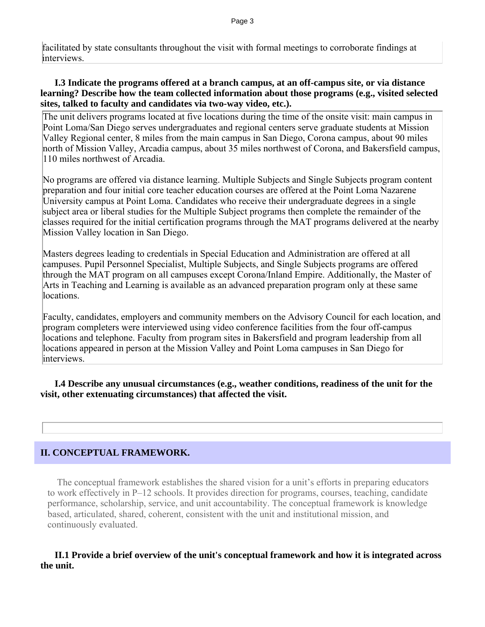facilitated by state consultants throughout the visit with formal meetings to corroborate findings at interviews.

# **I.3 Indicate the programs offered at a branch campus, at an off-campus site, or via distance learning? Describe how the team collected information about those programs (e.g., visited selected sites, talked to faculty and candidates via two-way video, etc.).**

The unit delivers programs located at five locations during the time of the onsite visit: main campus in Point Loma/San Diego serves undergraduates and regional centers serve graduate students at Mission Valley Regional center, 8 miles from the main campus in San Diego, Corona campus, about 90 miles north of Mission Valley, Arcadia campus, about 35 miles northwest of Corona, and Bakersfield campus, 110 miles northwest of Arcadia.

No programs are offered via distance learning. Multiple Subjects and Single Subjects program content preparation and four initial core teacher education courses are offered at the Point Loma Nazarene University campus at Point Loma. Candidates who receive their undergraduate degrees in a single subject area or liberal studies for the Multiple Subject programs then complete the remainder of the classes required for the initial certification programs through the MAT programs delivered at the nearby Mission Valley location in San Diego.

Masters degrees leading to credentials in Special Education and Administration are offered at all campuses. Pupil Personnel Specialist, Multiple Subjects, and Single Subjects programs are offered through the MAT program on all campuses except Corona/Inland Empire. Additionally, the Master of Arts in Teaching and Learning is available as an advanced preparation program only at these same locations.

Faculty, candidates, employers and community members on the Advisory Council for each location, and program completers were interviewed using video conference facilities from the four off-campus locations and telephone. Faculty from program sites in Bakersfield and program leadership from all locations appeared in person at the Mission Valley and Point Loma campuses in San Diego for interviews.

 **I.4 Describe any unusual circumstances (e.g., weather conditions, readiness of the unit for the visit, other extenuating circumstances) that affected the visit.**

# **II. CONCEPTUAL FRAMEWORK.**

 The conceptual framework establishes the shared vision for a unit's efforts in preparing educators to work effectively in P–12 schools. It provides direction for programs, courses, teaching, candidate performance, scholarship, service, and unit accountability. The conceptual framework is knowledge based, articulated, shared, coherent, consistent with the unit and institutional mission, and continuously evaluated.

# **II.1 Provide a brief overview of the unit's conceptual framework and how it is integrated across the unit.**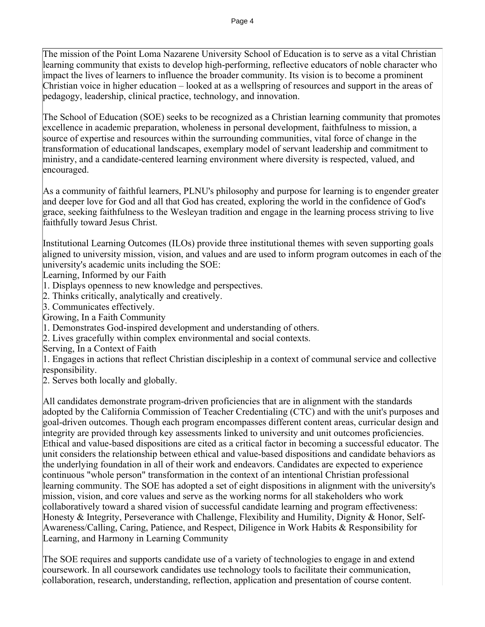The mission of the Point Loma Nazarene University School of Education is to serve as a vital Christian learning community that exists to develop high-performing, reflective educators of noble character who impact the lives of learners to influence the broader community. Its vision is to become a prominent Christian voice in higher education – looked at as a wellspring of resources and support in the areas of pedagogy, leadership, clinical practice, technology, and innovation.

The School of Education (SOE) seeks to be recognized as a Christian learning community that promotes excellence in academic preparation, wholeness in personal development, faithfulness to mission, a source of expertise and resources within the surrounding communities, vital force of change in the transformation of educational landscapes, exemplary model of servant leadership and commitment to ministry, and a candidate-centered learning environment where diversity is respected, valued, and encouraged.

As a community of faithful learners, PLNU's philosophy and purpose for learning is to engender greater and deeper love for God and all that God has created, exploring the world in the confidence of God's grace, seeking faithfulness to the Wesleyan tradition and engage in the learning process striving to live faithfully toward Jesus Christ.

Institutional Learning Outcomes (ILOs) provide three institutional themes with seven supporting goals aligned to university mission, vision, and values and are used to inform program outcomes in each of the university's academic units including the SOE:

Learning, Informed by our Faith

- 1. Displays openness to new knowledge and perspectives.
- 2. Thinks critically, analytically and creatively.
- 3. Communicates effectively.
- Growing, In a Faith Community
- 1. Demonstrates God-inspired development and understanding of others.
- 2. Lives gracefully within complex environmental and social contexts.
- Serving, In a Context of Faith

1. Engages in actions that reflect Christian discipleship in a context of communal service and collective responsibility.

2. Serves both locally and globally.

All candidates demonstrate program-driven proficiencies that are in alignment with the standards adopted by the California Commission of Teacher Credentialing (CTC) and with the unit's purposes and goal-driven outcomes. Though each program encompasses different content areas, curricular design and integrity are provided through key assessments linked to university and unit outcomes proficiencies. Ethical and value-based dispositions are cited as a critical factor in becoming a successful educator. The unit considers the relationship between ethical and value-based dispositions and candidate behaviors as the underlying foundation in all of their work and endeavors. Candidates are expected to experience continuous "whole person" transformation in the context of an intentional Christian professional learning community. The SOE has adopted a set of eight dispositions in alignment with the university's mission, vision, and core values and serve as the working norms for all stakeholders who work collaboratively toward a shared vision of successful candidate learning and program effectiveness: Honesty & Integrity, Perseverance with Challenge, Flexibility and Humility, Dignity & Honor, Self-Awareness/Calling, Caring, Patience, and Respect, Diligence in Work Habits & Responsibility for Learning, and Harmony in Learning Community

The SOE requires and supports candidate use of a variety of technologies to engage in and extend coursework. In all coursework candidates use technology tools to facilitate their communication, collaboration, research, understanding, reflection, application and presentation of course content.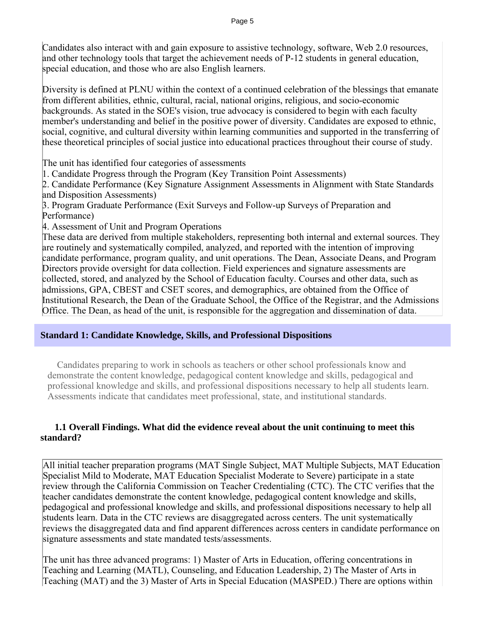Candidates also interact with and gain exposure to assistive technology, software, Web 2.0 resources, and other technology tools that target the achievement needs of P-12 students in general education, special education, and those who are also English learners.

Diversity is defined at PLNU within the context of a continued celebration of the blessings that emanate from different abilities, ethnic, cultural, racial, national origins, religious, and socio-economic backgrounds. As stated in the SOE's vision, true advocacy is considered to begin with each faculty member's understanding and belief in the positive power of diversity. Candidates are exposed to ethnic, social, cognitive, and cultural diversity within learning communities and supported in the transferring of these theoretical principles of social justice into educational practices throughout their course of study.

The unit has identified four categories of assessments

1. Candidate Progress through the Program (Key Transition Point Assessments)

2. Candidate Performance (Key Signature Assignment Assessments in Alignment with State Standards and Disposition Assessments)

3. Program Graduate Performance (Exit Surveys and Follow-up Surveys of Preparation and Performance)

4. Assessment of Unit and Program Operations

These data are derived from multiple stakeholders, representing both internal and external sources. They are routinely and systematically compiled, analyzed, and reported with the intention of improving candidate performance, program quality, and unit operations. The Dean, Associate Deans, and Program Directors provide oversight for data collection. Field experiences and signature assessments are collected, stored, and analyzed by the School of Education faculty. Courses and other data, such as admissions, GPA, CBEST and CSET scores, and demographics, are obtained from the Office of Institutional Research, the Dean of the Graduate School, the Office of the Registrar, and the Admissions Office. The Dean, as head of the unit, is responsible for the aggregation and dissemination of data.

# **Standard 1: Candidate Knowledge, Skills, and Professional Dispositions**

 Candidates preparing to work in schools as teachers or other school professionals know and demonstrate the content knowledge, pedagogical content knowledge and skills, pedagogical and professional knowledge and skills, and professional dispositions necessary to help all students learn. Assessments indicate that candidates meet professional, state, and institutional standards.

# **1.1 Overall Findings. What did the evidence reveal about the unit continuing to meet this standard?**

All initial teacher preparation programs (MAT Single Subject, MAT Multiple Subjects, MAT Education Specialist Mild to Moderate, MAT Education Specialist Moderate to Severe) participate in a state review through the California Commission on Teacher Credentialing (CTC). The CTC verifies that the teacher candidates demonstrate the content knowledge, pedagogical content knowledge and skills, pedagogical and professional knowledge and skills, and professional dispositions necessary to help all students learn. Data in the CTC reviews are disaggregated across centers. The unit systematically reviews the disaggregated data and find apparent differences across centers in candidate performance on signature assessments and state mandated tests/assessments.

The unit has three advanced programs: 1) Master of Arts in Education, offering concentrations in Teaching and Learning (MATL), Counseling, and Education Leadership, 2) The Master of Arts in Teaching (MAT) and the 3) Master of Arts in Special Education (MASPED.) There are options within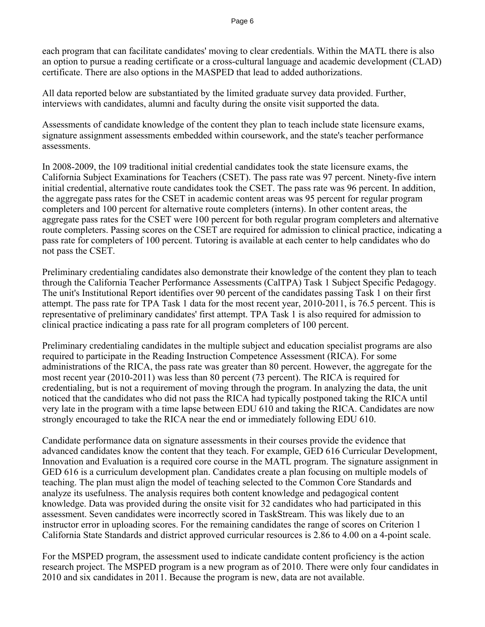each program that can facilitate candidates' moving to clear credentials. Within the MATL there is also an option to pursue a reading certificate or a cross-cultural language and academic development (CLAD) certificate. There are also options in the MASPED that lead to added authorizations.

All data reported below are substantiated by the limited graduate survey data provided. Further, interviews with candidates, alumni and faculty during the onsite visit supported the data.

Assessments of candidate knowledge of the content they plan to teach include state licensure exams, signature assignment assessments embedded within coursework, and the state's teacher performance assessments.

In 2008-2009, the 109 traditional initial credential candidates took the state licensure exams, the California Subject Examinations for Teachers (CSET). The pass rate was 97 percent. Ninety-five intern initial credential, alternative route candidates took the CSET. The pass rate was 96 percent. In addition, the aggregate pass rates for the CSET in academic content areas was 95 percent for regular program completers and 100 percent for alternative route completers (interns). In other content areas, the aggregate pass rates for the CSET were 100 percent for both regular program completers and alternative route completers. Passing scores on the CSET are required for admission to clinical practice, indicating a pass rate for completers of 100 percent. Tutoring is available at each center to help candidates who do not pass the CSET.

Preliminary credentialing candidates also demonstrate their knowledge of the content they plan to teach through the California Teacher Performance Assessments (CalTPA) Task 1 Subject Specific Pedagogy. The unit's Institutional Report identifies over 90 percent of the candidates passing Task 1 on their first attempt. The pass rate for TPA Task 1 data for the most recent year, 2010-2011, is 76.5 percent. This is representative of preliminary candidates' first attempt. TPA Task 1 is also required for admission to clinical practice indicating a pass rate for all program completers of 100 percent.

Preliminary credentialing candidates in the multiple subject and education specialist programs are also required to participate in the Reading Instruction Competence Assessment (RICA). For some administrations of the RICA, the pass rate was greater than 80 percent. However, the aggregate for the most recent year (2010-2011) was less than 80 percent (73 percent). The RICA is required for credentialing, but is not a requirement of moving through the program. In analyzing the data, the unit noticed that the candidates who did not pass the RICA had typically postponed taking the RICA until very late in the program with a time lapse between EDU 610 and taking the RICA. Candidates are now strongly encouraged to take the RICA near the end or immediately following EDU 610.

Candidate performance data on signature assessments in their courses provide the evidence that advanced candidates know the content that they teach. For example, GED 616 Curricular Development, Innovation and Evaluation is a required core course in the MATL program. The signature assignment in GED 616 is a curriculum development plan. Candidates create a plan focusing on multiple models of teaching. The plan must align the model of teaching selected to the Common Core Standards and analyze its usefulness. The analysis requires both content knowledge and pedagogical content knowledge. Data was provided during the onsite visit for 32 candidates who had participated in this assessment. Seven candidates were incorrectly scored in TaskStream. This was likely due to an instructor error in uploading scores. For the remaining candidates the range of scores on Criterion 1 California State Standards and district approved curricular resources is 2.86 to 4.00 on a 4-point scale.

For the MSPED program, the assessment used to indicate candidate content proficiency is the action research project. The MSPED program is a new program as of 2010. There were only four candidates in 2010 and six candidates in 2011. Because the program is new, data are not available.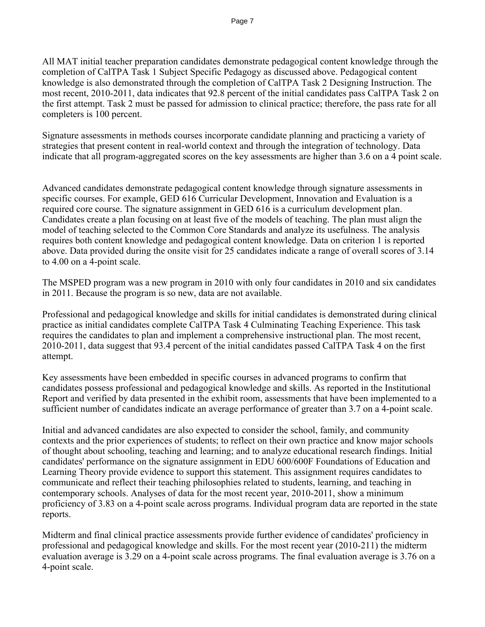All MAT initial teacher preparation candidates demonstrate pedagogical content knowledge through the completion of CalTPA Task 1 Subject Specific Pedagogy as discussed above. Pedagogical content knowledge is also demonstrated through the completion of CalTPA Task 2 Designing Instruction. The most recent, 2010-2011, data indicates that 92.8 percent of the initial candidates pass CalTPA Task 2 on the first attempt. Task 2 must be passed for admission to clinical practice; therefore, the pass rate for all completers is 100 percent.

Signature assessments in methods courses incorporate candidate planning and practicing a variety of strategies that present content in real-world context and through the integration of technology. Data indicate that all program-aggregated scores on the key assessments are higher than 3.6 on a 4 point scale.

Advanced candidates demonstrate pedagogical content knowledge through signature assessments in specific courses. For example, GED 616 Curricular Development, Innovation and Evaluation is a required core course. The signature assignment in GED 616 is a curriculum development plan. Candidates create a plan focusing on at least five of the models of teaching. The plan must align the model of teaching selected to the Common Core Standards and analyze its usefulness. The analysis requires both content knowledge and pedagogical content knowledge. Data on criterion 1 is reported above. Data provided during the onsite visit for 25 candidates indicate a range of overall scores of 3.14 to 4.00 on a 4-point scale.

The MSPED program was a new program in 2010 with only four candidates in 2010 and six candidates in 2011. Because the program is so new, data are not available.

Professional and pedagogical knowledge and skills for initial candidates is demonstrated during clinical practice as initial candidates complete CalTPA Task 4 Culminating Teaching Experience. This task requires the candidates to plan and implement a comprehensive instructional plan. The most recent, 2010-2011, data suggest that 93.4 percent of the initial candidates passed CalTPA Task 4 on the first attempt.

Key assessments have been embedded in specific courses in advanced programs to confirm that candidates possess professional and pedagogical knowledge and skills. As reported in the Institutional Report and verified by data presented in the exhibit room, assessments that have been implemented to a sufficient number of candidates indicate an average performance of greater than 3.7 on a 4-point scale.

Initial and advanced candidates are also expected to consider the school, family, and community contexts and the prior experiences of students; to reflect on their own practice and know major schools of thought about schooling, teaching and learning; and to analyze educational research findings. Initial candidates' performance on the signature assignment in EDU 600/600F Foundations of Education and Learning Theory provide evidence to support this statement. This assignment requires candidates to communicate and reflect their teaching philosophies related to students, learning, and teaching in contemporary schools. Analyses of data for the most recent year, 2010-2011, show a minimum proficiency of 3.83 on a 4-point scale across programs. Individual program data are reported in the state reports.

Midterm and final clinical practice assessments provide further evidence of candidates' proficiency in professional and pedagogical knowledge and skills. For the most recent year (2010-211) the midterm evaluation average is 3.29 on a 4-point scale across programs. The final evaluation average is 3.76 on a 4-point scale.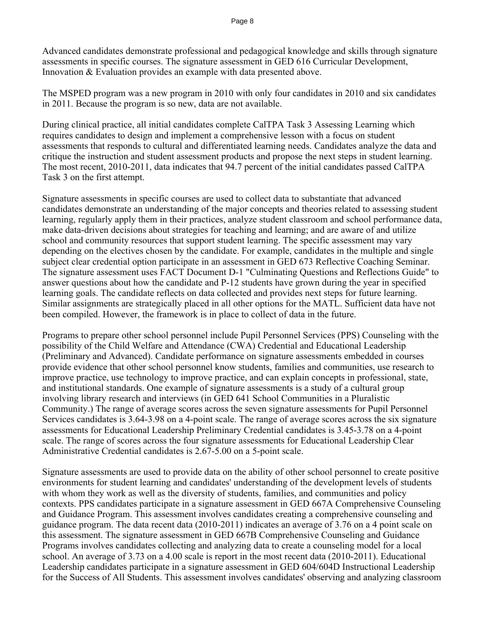Advanced candidates demonstrate professional and pedagogical knowledge and skills through signature assessments in specific courses. The signature assessment in GED 616 Curricular Development, Innovation & Evaluation provides an example with data presented above.

The MSPED program was a new program in 2010 with only four candidates in 2010 and six candidates in 2011. Because the program is so new, data are not available.

During clinical practice, all initial candidates complete CalTPA Task 3 Assessing Learning which requires candidates to design and implement a comprehensive lesson with a focus on student assessments that responds to cultural and differentiated learning needs. Candidates analyze the data and critique the instruction and student assessment products and propose the next steps in student learning. The most recent, 2010-2011, data indicates that 94.7 percent of the initial candidates passed CalTPA Task 3 on the first attempt.

Signature assessments in specific courses are used to collect data to substantiate that advanced candidates demonstrate an understanding of the major concepts and theories related to assessing student learning, regularly apply them in their practices, analyze student classroom and school performance data, make data-driven decisions about strategies for teaching and learning; and are aware of and utilize school and community resources that support student learning. The specific assessment may vary depending on the electives chosen by the candidate. For example, candidates in the multiple and single subject clear credential option participate in an assessment in GED 673 Reflective Coaching Seminar. The signature assessment uses FACT Document D-1 "Culminating Questions and Reflections Guide" to answer questions about how the candidate and P-12 students have grown during the year in specified learning goals. The candidate reflects on data collected and provides next steps for future learning. Similar assignments are strategically placed in all other options for the MATL. Sufficient data have not been compiled. However, the framework is in place to collect of data in the future.

Programs to prepare other school personnel include Pupil Personnel Services (PPS) Counseling with the possibility of the Child Welfare and Attendance (CWA) Credential and Educational Leadership (Preliminary and Advanced). Candidate performance on signature assessments embedded in courses provide evidence that other school personnel know students, families and communities, use research to improve practice, use technology to improve practice, and can explain concepts in professional, state, and institutional standards. One example of signature assessments is a study of a cultural group involving library research and interviews (in GED 641 School Communities in a Pluralistic Community.) The range of average scores across the seven signature assessments for Pupil Personnel Services candidates is 3.64-3.98 on a 4-point scale. The range of average scores across the six signature assessments for Educational Leadership Preliminary Credential candidates is 3.45-3.78 on a 4-point scale. The range of scores across the four signature assessments for Educational Leadership Clear Administrative Credential candidates is 2.67-5.00 on a 5-point scale.

Signature assessments are used to provide data on the ability of other school personnel to create positive environments for student learning and candidates' understanding of the development levels of students with whom they work as well as the diversity of students, families, and communities and policy contexts. PPS candidates participate in a signature assessment in GED 667A Comprehensive Counseling and Guidance Program. This assessment involves candidates creating a comprehensive counseling and guidance program. The data recent data (2010-2011) indicates an average of 3.76 on a 4 point scale on this assessment. The signature assessment in GED 667B Comprehensive Counseling and Guidance Programs involves candidates collecting and analyzing data to create a counseling model for a local school. An average of 3.73 on a 4.00 scale is report in the most recent data (2010-2011). Educational Leadership candidates participate in a signature assessment in GED 604/604D Instructional Leadership for the Success of All Students. This assessment involves candidates' observing and analyzing classroom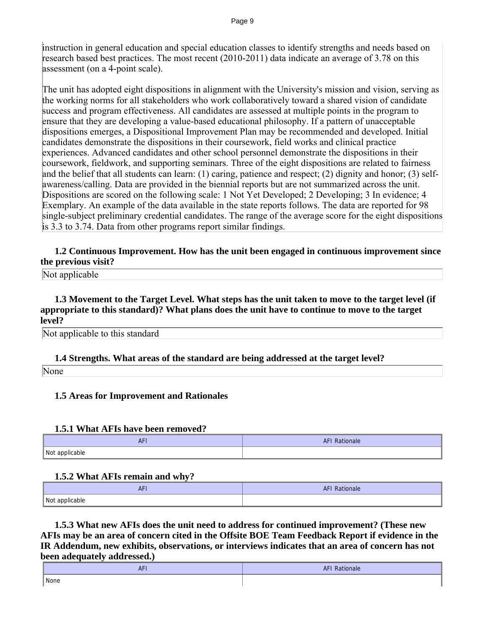instruction in general education and special education classes to identify strengths and needs based on research based best practices. The most recent (2010-2011) data indicate an average of 3.78 on this assessment (on a 4-point scale).

The unit has adopted eight dispositions in alignment with the University's mission and vision, serving as the working norms for all stakeholders who work collaboratively toward a shared vision of candidate success and program effectiveness. All candidates are assessed at multiple points in the program to ensure that they are developing a value-based educational philosophy. If a pattern of unacceptable dispositions emerges, a Dispositional Improvement Plan may be recommended and developed. Initial candidates demonstrate the dispositions in their coursework, field works and clinical practice experiences. Advanced candidates and other school personnel demonstrate the dispositions in their coursework, fieldwork, and supporting seminars. Three of the eight dispositions are related to fairness and the belief that all students can learn: (1) caring, patience and respect; (2) dignity and honor; (3) selfawareness/calling. Data are provided in the biennial reports but are not summarized across the unit. Dispositions are scored on the following scale: 1 Not Yet Developed; 2 Developing; 3 In evidence; 4 Exemplary. An example of the data available in the state reports follows. The data are reported for 98 single-subject preliminary credential candidates. The range of the average score for the eight dispositions is 3.3 to 3.74. Data from other programs report similar findings.

# **1.2 Continuous Improvement. How has the unit been engaged in continuous improvement since the previous visit?**

Not applicable

 **1.3 Movement to the Target Level. What steps has the unit taken to move to the target level (if appropriate to this standard)? What plans does the unit have to continue to move to the target level?**

Not applicable to this standard

# **1.4 Strengths. What areas of the standard are being addressed at the target level?**

None

# **1.5 Areas for Improvement and Rationales**

# **1.5.1 What AFIs have been removed?**

| <b>AF</b>      | AFI Rationale |
|----------------|---------------|
| Not applicable |               |

# **1.5.2 What AFIs remain and why?**

| $\overline{a}$<br>ATI | <b>AFI Rationale</b> |
|-----------------------|----------------------|
| Not applicable        |                      |

 **1.5.3 What new AFIs does the unit need to address for continued improvement? (These new AFIs may be an area of concern cited in the Offsite BOE Team Feedback Report if evidence in the IR Addendum, new exhibits, observations, or interviews indicates that an area of concern has not been adequately addressed.)** 

| <b>AFI</b><br>F1 | <b>AFI Ratio</b><br>Rationale<br>and the state of the state of the state of the state of the state of the state of the state of the state of th |
|------------------|-------------------------------------------------------------------------------------------------------------------------------------------------|
|                  |                                                                                                                                                 |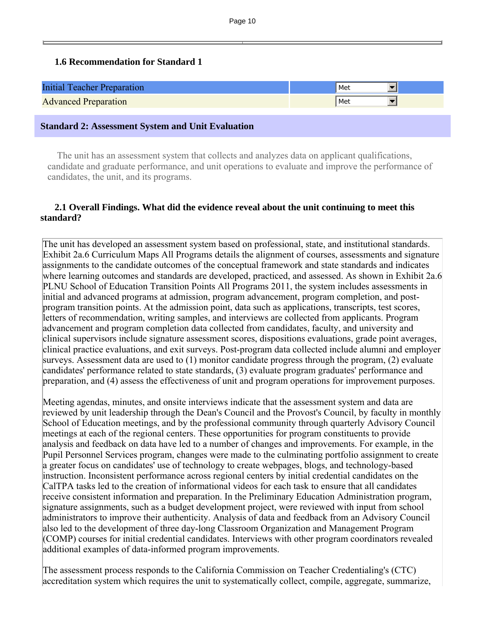# **1.6 Recommendation for Standard 1**

| <b>Initial Teacher Preparation</b> | Met |
|------------------------------------|-----|
| <b>Advanced Preparation</b>        | Met |

#### **Standard 2: Assessment System and Unit Evaluation**

 The unit has an assessment system that collects and analyzes data on applicant qualifications, candidate and graduate performance, and unit operations to evaluate and improve the performance of candidates, the unit, and its programs.

# **2.1 Overall Findings. What did the evidence reveal about the unit continuing to meet this standard?**

The unit has developed an assessment system based on professional, state, and institutional standards. Exhibit 2a.6 Curriculum Maps All Programs details the alignment of courses, assessments and signature assignments to the candidate outcomes of the conceptual framework and state standards and indicates where learning outcomes and standards are developed, practiced, and assessed. As shown in Exhibit 2a.6 PLNU School of Education Transition Points All Programs 2011, the system includes assessments in initial and advanced programs at admission, program advancement, program completion, and postprogram transition points. At the admission point, data such as applications, transcripts, test scores, letters of recommendation, writing samples, and interviews are collected from applicants. Program advancement and program completion data collected from candidates, faculty, and university and clinical supervisors include signature assessment scores, dispositions evaluations, grade point averages, clinical practice evaluations, and exit surveys. Post-program data collected include alumni and employer surveys. Assessment data are used to (1) monitor candidate progress through the program, (2) evaluate candidates' performance related to state standards, (3) evaluate program graduates' performance and preparation, and (4) assess the effectiveness of unit and program operations for improvement purposes.

Meeting agendas, minutes, and onsite interviews indicate that the assessment system and data are reviewed by unit leadership through the Dean's Council and the Provost's Council, by faculty in monthly School of Education meetings, and by the professional community through quarterly Advisory Council meetings at each of the regional centers. These opportunities for program constituents to provide analysis and feedback on data have led to a number of changes and improvements. For example, in the Pupil Personnel Services program, changes were made to the culminating portfolio assignment to create a greater focus on candidates' use of technology to create webpages, blogs, and technology-based instruction. Inconsistent performance across regional centers by initial credential candidates on the CalTPA tasks led to the creation of informational videos for each task to ensure that all candidates receive consistent information and preparation. In the Preliminary Education Administration program, signature assignments, such as a budget development project, were reviewed with input from school administrators to improve their authenticity. Analysis of data and feedback from an Advisory Council also led to the development of three day-long Classroom Organization and Management Program (COMP) courses for initial credential candidates. Interviews with other program coordinators revealed additional examples of data-informed program improvements.

The assessment process responds to the California Commission on Teacher Credentialing's (CTC) accreditation system which requires the unit to systematically collect, compile, aggregate, summarize,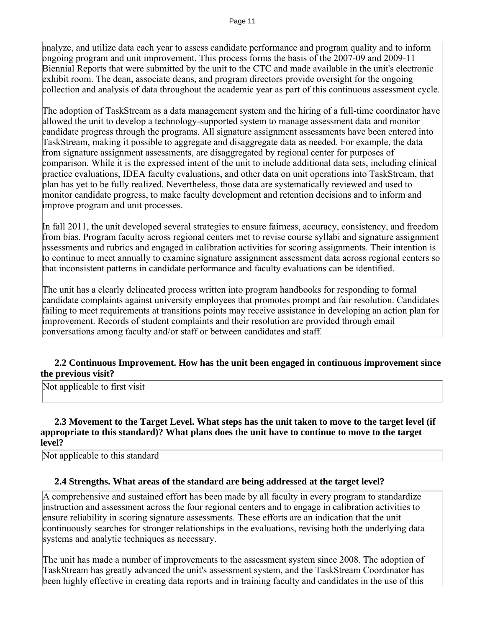analyze, and utilize data each year to assess candidate performance and program quality and to inform ongoing program and unit improvement. This process forms the basis of the 2007-09 and 2009-11 Biennial Reports that were submitted by the unit to the CTC and made available in the unit's electronic exhibit room. The dean, associate deans, and program directors provide oversight for the ongoing collection and analysis of data throughout the academic year as part of this continuous assessment cycle.

The adoption of TaskStream as a data management system and the hiring of a full-time coordinator have allowed the unit to develop a technology-supported system to manage assessment data and monitor candidate progress through the programs. All signature assignment assessments have been entered into TaskStream, making it possible to aggregate and disaggregate data as needed. For example, the data from signature assignment assessments, are disaggregated by regional center for purposes of comparison. While it is the expressed intent of the unit to include additional data sets, including clinical practice evaluations, IDEA faculty evaluations, and other data on unit operations into TaskStream, that plan has yet to be fully realized. Nevertheless, those data are systematically reviewed and used to monitor candidate progress, to make faculty development and retention decisions and to inform and improve program and unit processes.

In fall 2011, the unit developed several strategies to ensure fairness, accuracy, consistency, and freedom from bias. Program faculty across regional centers met to revise course syllabi and signature assignment assessments and rubrics and engaged in calibration activities for scoring assignments. Their intention is to continue to meet annually to examine signature assignment assessment data across regional centers so that inconsistent patterns in candidate performance and faculty evaluations can be identified.

The unit has a clearly delineated process written into program handbooks for responding to formal candidate complaints against university employees that promotes prompt and fair resolution. Candidates failing to meet requirements at transitions points may receive assistance in developing an action plan for improvement. Records of student complaints and their resolution are provided through email conversations among faculty and/or staff or between candidates and staff.

#### **2.2 Continuous Improvement. How has the unit been engaged in continuous improvement since the previous visit?**

Not applicable to first visit

#### **2.3 Movement to the Target Level. What steps has the unit taken to move to the target level (if appropriate to this standard)? What plans does the unit have to continue to move to the target level?**

Not applicable to this standard

# **2.4 Strengths. What areas of the standard are being addressed at the target level?**

A comprehensive and sustained effort has been made by all faculty in every program to standardize instruction and assessment across the four regional centers and to engage in calibration activities to ensure reliability in scoring signature assessments. These efforts are an indication that the unit continuously searches for stronger relationships in the evaluations, revising both the underlying data systems and analytic techniques as necessary.

The unit has made a number of improvements to the assessment system since 2008. The adoption of TaskStream has greatly advanced the unit's assessment system, and the TaskStream Coordinator has been highly effective in creating data reports and in training faculty and candidates in the use of this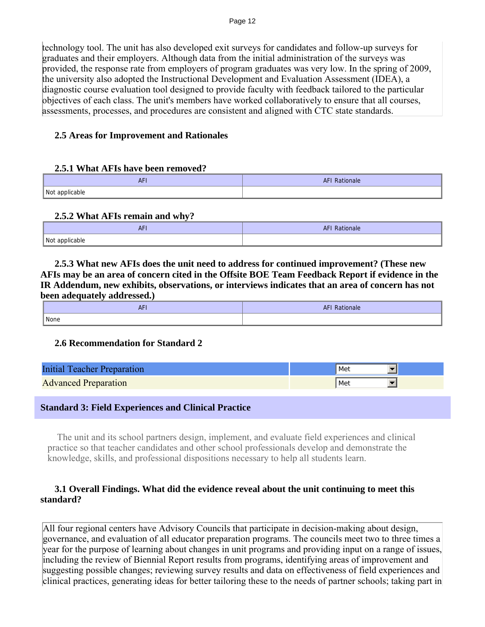technology tool. The unit has also developed exit surveys for candidates and follow-up surveys for graduates and their employers. Although data from the initial administration of the surveys was provided, the response rate from employers of program graduates was very low. In the spring of 2009, the university also adopted the Instructional Development and Evaluation Assessment (IDEA), a diagnostic course evaluation tool designed to provide faculty with feedback tailored to the particular objectives of each class. The unit's members have worked collaboratively to ensure that all courses, assessments, processes, and procedures are consistent and aligned with CTC state standards.

# **2.5 Areas for Improvement and Rationales**

#### **2.5.1 What AFIs have been removed?**

| <b>AF</b>      | I Rationale<br>AFI |
|----------------|--------------------|
| Not applicable |                    |

# **2.5.2 What AFIs remain and why?**

| AF             | <b>AFI Rationale</b> |
|----------------|----------------------|
| Not applicable |                      |

 **2.5.3 What new AFIs does the unit need to address for continued improvement? (These new AFIs may be an area of concern cited in the Offsite BOE Team Feedback Report if evidence in the IR Addendum, new exhibits, observations, or interviews indicates that an area of concern has not been adequately addressed.)** 

| $\overline{a}$<br>ATI | <b>AFI Rationale</b> |
|-----------------------|----------------------|
| None                  |                      |

# **2.6 Recommendation for Standard 2**

| Initial 1<br><b>Teacher Preparation</b> | Met |
|-----------------------------------------|-----|
| <b>Advanced Preparation</b>             | Met |

# **Standard 3: Field Experiences and Clinical Practice**

 The unit and its school partners design, implement, and evaluate field experiences and clinical practice so that teacher candidates and other school professionals develop and demonstrate the knowledge, skills, and professional dispositions necessary to help all students learn.

# **3.1 Overall Findings. What did the evidence reveal about the unit continuing to meet this standard?**

All four regional centers have Advisory Councils that participate in decision-making about design, governance, and evaluation of all educator preparation programs. The councils meet two to three times a year for the purpose of learning about changes in unit programs and providing input on a range of issues, including the review of Biennial Report results from programs, identifying areas of improvement and suggesting possible changes; reviewing survey results and data on effectiveness of field experiences and clinical practices, generating ideas for better tailoring these to the needs of partner schools; taking part in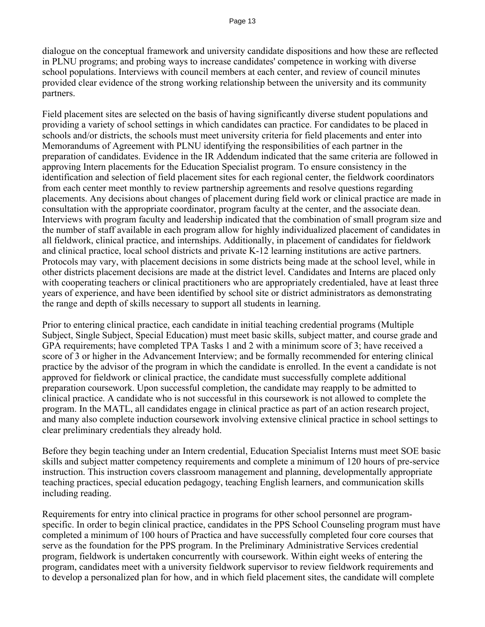dialogue on the conceptual framework and university candidate dispositions and how these are reflected in PLNU programs; and probing ways to increase candidates' competence in working with diverse school populations. Interviews with council members at each center, and review of council minutes provided clear evidence of the strong working relationship between the university and its community partners.

Field placement sites are selected on the basis of having significantly diverse student populations and providing a variety of school settings in which candidates can practice. For candidates to be placed in schools and/or districts, the schools must meet university criteria for field placements and enter into Memorandums of Agreement with PLNU identifying the responsibilities of each partner in the preparation of candidates. Evidence in the IR Addendum indicated that the same criteria are followed in approving Intern placements for the Education Specialist program. To ensure consistency in the identification and selection of field placement sites for each regional center, the fieldwork coordinators from each center meet monthly to review partnership agreements and resolve questions regarding placements. Any decisions about changes of placement during field work or clinical practice are made in consultation with the appropriate coordinator, program faculty at the center, and the associate dean. Interviews with program faculty and leadership indicated that the combination of small program size and the number of staff available in each program allow for highly individualized placement of candidates in all fieldwork, clinical practice, and internships. Additionally, in placement of candidates for fieldwork and clinical practice, local school districts and private K-12 learning institutions are active partners. Protocols may vary, with placement decisions in some districts being made at the school level, while in other districts placement decisions are made at the district level. Candidates and Interns are placed only with cooperating teachers or clinical practitioners who are appropriately credentialed, have at least three years of experience, and have been identified by school site or district administrators as demonstrating the range and depth of skills necessary to support all students in learning.

Prior to entering clinical practice, each candidate in initial teaching credential programs (Multiple Subject, Single Subject, Special Education) must meet basic skills, subject matter, and course grade and GPA requirements; have completed TPA Tasks 1 and 2 with a minimum score of 3; have received a score of 3 or higher in the Advancement Interview; and be formally recommended for entering clinical practice by the advisor of the program in which the candidate is enrolled. In the event a candidate is not approved for fieldwork or clinical practice, the candidate must successfully complete additional preparation coursework. Upon successful completion, the candidate may reapply to be admitted to clinical practice. A candidate who is not successful in this coursework is not allowed to complete the program. In the MATL, all candidates engage in clinical practice as part of an action research project, and many also complete induction coursework involving extensive clinical practice in school settings to clear preliminary credentials they already hold.

Before they begin teaching under an Intern credential, Education Specialist Interns must meet SOE basic skills and subject matter competency requirements and complete a minimum of 120 hours of pre-service instruction. This instruction covers classroom management and planning, developmentally appropriate teaching practices, special education pedagogy, teaching English learners, and communication skills including reading.

Requirements for entry into clinical practice in programs for other school personnel are programspecific. In order to begin clinical practice, candidates in the PPS School Counseling program must have completed a minimum of 100 hours of Practica and have successfully completed four core courses that serve as the foundation for the PPS program. In the Preliminary Administrative Services credential program, fieldwork is undertaken concurrently with coursework. Within eight weeks of entering the program, candidates meet with a university fieldwork supervisor to review fieldwork requirements and to develop a personalized plan for how, and in which field placement sites, the candidate will complete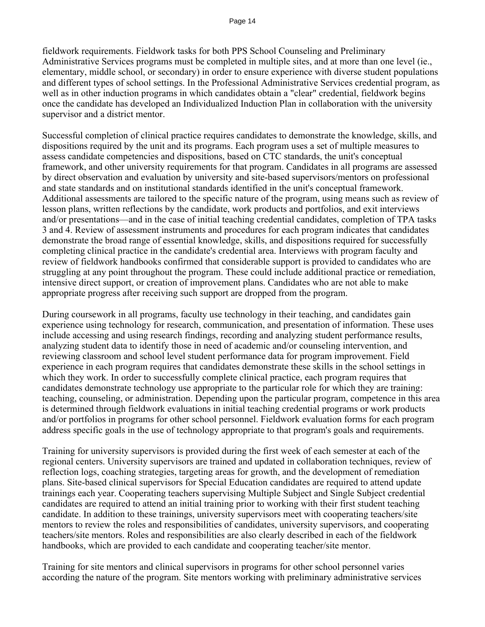fieldwork requirements. Fieldwork tasks for both PPS School Counseling and Preliminary Administrative Services programs must be completed in multiple sites, and at more than one level (ie., elementary, middle school, or secondary) in order to ensure experience with diverse student populations and different types of school settings. In the Professional Administrative Services credential program, as well as in other induction programs in which candidates obtain a "clear" credential, fieldwork begins once the candidate has developed an Individualized Induction Plan in collaboration with the university supervisor and a district mentor.

Successful completion of clinical practice requires candidates to demonstrate the knowledge, skills, and dispositions required by the unit and its programs. Each program uses a set of multiple measures to assess candidate competencies and dispositions, based on CTC standards, the unit's conceptual framework, and other university requirements for that program. Candidates in all programs are assessed by direct observation and evaluation by university and site-based supervisors/mentors on professional and state standards and on institutional standards identified in the unit's conceptual framework. Additional assessments are tailored to the specific nature of the program, using means such as review of lesson plans, written reflections by the candidate, work products and portfolios, and exit interviews and/or presentations—and in the case of initial teaching credential candidates, completion of TPA tasks 3 and 4. Review of assessment instruments and procedures for each program indicates that candidates demonstrate the broad range of essential knowledge, skills, and dispositions required for successfully completing clinical practice in the candidate's credential area. Interviews with program faculty and review of fieldwork handbooks confirmed that considerable support is provided to candidates who are struggling at any point throughout the program. These could include additional practice or remediation, intensive direct support, or creation of improvement plans. Candidates who are not able to make appropriate progress after receiving such support are dropped from the program.

During coursework in all programs, faculty use technology in their teaching, and candidates gain experience using technology for research, communication, and presentation of information. These uses include accessing and using research findings, recording and analyzing student performance results, analyzing student data to identify those in need of academic and/or counseling intervention, and reviewing classroom and school level student performance data for program improvement. Field experience in each program requires that candidates demonstrate these skills in the school settings in which they work. In order to successfully complete clinical practice, each program requires that candidates demonstrate technology use appropriate to the particular role for which they are training: teaching, counseling, or administration. Depending upon the particular program, competence in this area is determined through fieldwork evaluations in initial teaching credential programs or work products and/or portfolios in programs for other school personnel. Fieldwork evaluation forms for each program address specific goals in the use of technology appropriate to that program's goals and requirements.

Training for university supervisors is provided during the first week of each semester at each of the regional centers. University supervisors are trained and updated in collaboration techniques, review of reflection logs, coaching strategies, targeting areas for growth, and the development of remediation plans. Site-based clinical supervisors for Special Education candidates are required to attend update trainings each year. Cooperating teachers supervising Multiple Subject and Single Subject credential candidates are required to attend an initial training prior to working with their first student teaching candidate. In addition to these trainings, university supervisors meet with cooperating teachers/site mentors to review the roles and responsibilities of candidates, university supervisors, and cooperating teachers/site mentors. Roles and responsibilities are also clearly described in each of the fieldwork handbooks, which are provided to each candidate and cooperating teacher/site mentor.

Training for site mentors and clinical supervisors in programs for other school personnel varies according the nature of the program. Site mentors working with preliminary administrative services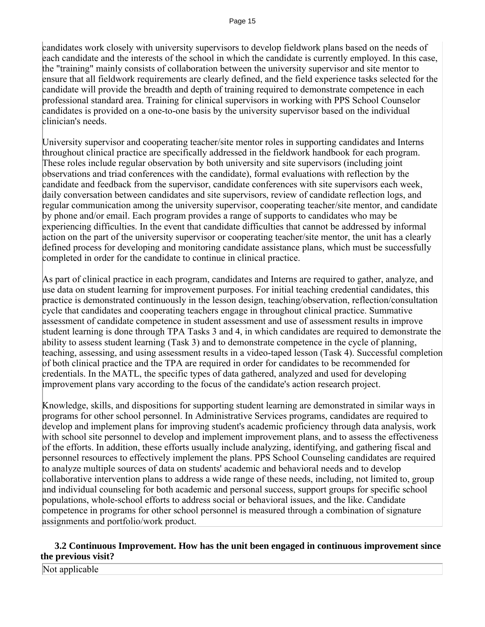candidates work closely with university supervisors to develop fieldwork plans based on the needs of each candidate and the interests of the school in which the candidate is currently employed. In this case, the "training" mainly consists of collaboration between the university supervisor and site mentor to ensure that all fieldwork requirements are clearly defined, and the field experience tasks selected for the candidate will provide the breadth and depth of training required to demonstrate competence in each professional standard area. Training for clinical supervisors in working with PPS School Counselor candidates is provided on a one-to-one basis by the university supervisor based on the individual clinician's needs.

University supervisor and cooperating teacher/site mentor roles in supporting candidates and Interns throughout clinical practice are specifically addressed in the fieldwork handbook for each program. These roles include regular observation by both university and site supervisors (including joint observations and triad conferences with the candidate), formal evaluations with reflection by the candidate and feedback from the supervisor, candidate conferences with site supervisors each week, daily conversation between candidates and site supervisors, review of candidate reflection logs, and regular communication among the university supervisor, cooperating teacher/site mentor, and candidate by phone and/or email. Each program provides a range of supports to candidates who may be experiencing difficulties. In the event that candidate difficulties that cannot be addressed by informal action on the part of the university supervisor or cooperating teacher/site mentor, the unit has a clearly defined process for developing and monitoring candidate assistance plans, which must be successfully completed in order for the candidate to continue in clinical practice.

As part of clinical practice in each program, candidates and Interns are required to gather, analyze, and use data on student learning for improvement purposes. For initial teaching credential candidates, this practice is demonstrated continuously in the lesson design, teaching/observation, reflection/consultation cycle that candidates and cooperating teachers engage in throughout clinical practice. Summative assessment of candidate competence in student assessment and use of assessment results in improve student learning is done through TPA Tasks 3 and 4, in which candidates are required to demonstrate the ability to assess student learning (Task 3) and to demonstrate competence in the cycle of planning, teaching, assessing, and using assessment results in a video-taped lesson (Task 4). Successful completion of both clinical practice and the TPA are required in order for candidates to be recommended for credentials. In the MATL, the specific types of data gathered, analyzed and used for developing improvement plans vary according to the focus of the candidate's action research project.

Knowledge, skills, and dispositions for supporting student learning are demonstrated in similar ways in programs for other school personnel. In Administrative Services programs, candidates are required to develop and implement plans for improving student's academic proficiency through data analysis, work with school site personnel to develop and implement improvement plans, and to assess the effectiveness of the efforts. In addition, these efforts usually include analyzing, identifying, and gathering fiscal and personnel resources to effectively implement the plans. PPS School Counseling candidates are required to analyze multiple sources of data on students' academic and behavioral needs and to develop collaborative intervention plans to address a wide range of these needs, including, not limited to, group and individual counseling for both academic and personal success, support groups for specific school populations, whole-school efforts to address social or behavioral issues, and the like. Candidate competence in programs for other school personnel is measured through a combination of signature assignments and portfolio/work product.

# **3.2 Continuous Improvement. How has the unit been engaged in continuous improvement since the previous visit?**

Not applicable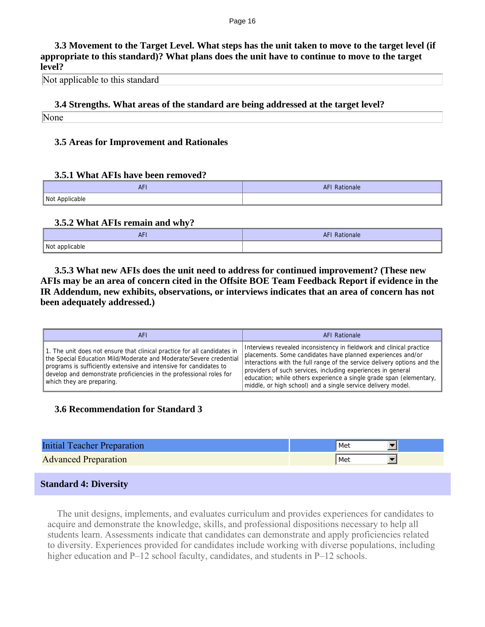#### Page 16

 **3.3 Movement to the Target Level. What steps has the unit taken to move to the target level (if appropriate to this standard)? What plans does the unit have to continue to move to the target level?**

Not applicable to this standard

**3.4 Strengths. What areas of the standard are being addressed at the target level?**

None

# **3.5 Areas for Improvement and Rationales**

#### **3.5.1 What AFIs have been removed?**

| AF <sub>1</sub> | <b>AFI</b><br>Rationale |
|-----------------|-------------------------|
| Not Applicable  |                         |

# **3.5.2 What AFIs remain and why?**

| <b>AFI</b>          | <b>TEI Rationale</b> |
|---------------------|----------------------|
| Not applicable<br>. |                      |

 **3.5.3 What new AFIs does the unit need to address for continued improvement? (These new AFIs may be an area of concern cited in the Offsite BOE Team Feedback Report if evidence in the IR Addendum, new exhibits, observations, or interviews indicates that an area of concern has not been adequately addressed.)** 

| AFI                                                                                                                                                                                                                                                                                                                      | AFI Rationale                                                                                                                                                                                                                                                                                                                                                                                                          |
|--------------------------------------------------------------------------------------------------------------------------------------------------------------------------------------------------------------------------------------------------------------------------------------------------------------------------|------------------------------------------------------------------------------------------------------------------------------------------------------------------------------------------------------------------------------------------------------------------------------------------------------------------------------------------------------------------------------------------------------------------------|
| 1. The unit does not ensure that clinical practice for all candidates in<br>the Special Education Mild/Moderate and Moderate/Severe credential<br>programs is sufficiently extensive and intensive for candidates to<br>develop and demonstrate proficiencies in the professional roles for<br>which they are preparing. | Interviews revealed inconsistency in fieldwork and clinical practice<br>placements. Some candidates have planned experiences and/or<br>interactions with the full range of the service delivery options and the<br>providers of such services, including experiences in general<br>education; while others experience a single grade span (elementary,<br>middle, or high school) and a single service delivery model. |

# **3.6 Recommendation for Standard 3**

| <b>Initial Teacher Preparation</b> | Met |
|------------------------------------|-----|
| <b>Advanced Preparation</b>        | Met |
|                                    |     |
|                                    |     |

# **Standard 4: Diversity**

 The unit designs, implements, and evaluates curriculum and provides experiences for candidates to acquire and demonstrate the knowledge, skills, and professional dispositions necessary to help all students learn. Assessments indicate that candidates can demonstrate and apply proficiencies related to diversity. Experiences provided for candidates include working with diverse populations, including higher education and P–12 school faculty, candidates, and students in P–12 schools.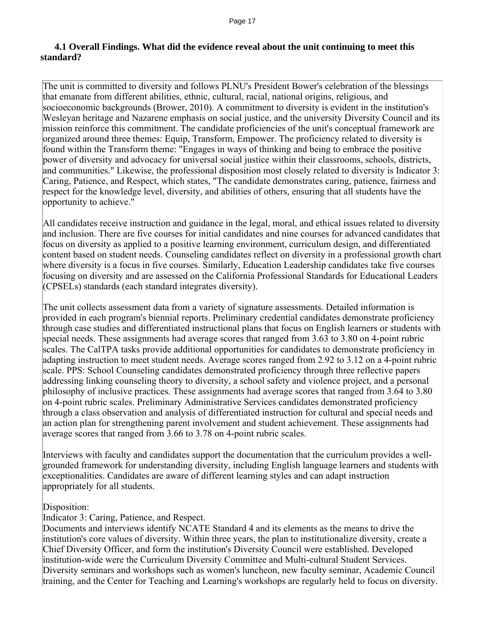# **4.1 Overall Findings. What did the evidence reveal about the unit continuing to meet this standard?**

The unit is committed to diversity and follows PLNU's President Bower's celebration of the blessings that emanate from different abilities, ethnic, cultural, racial, national origins, religious, and socioeconomic backgrounds (Brower, 2010). A commitment to diversity is evident in the institution's Wesleyan heritage and Nazarene emphasis on social justice, and the university Diversity Council and its mission reinforce this commitment. The candidate proficiencies of the unit's conceptual framework are organized around three themes: Equip, Transform, Empower. The proficiency related to diversity is found within the Transform theme: "Engages in ways of thinking and being to embrace the positive power of diversity and advocacy for universal social justice within their classrooms, schools, districts, and communities." Likewise, the professional disposition most closely related to diversity is Indicator 3: Caring, Patience, and Respect, which states, "The candidate demonstrates caring, patience, fairness and respect for the knowledge level, diversity, and abilities of others, ensuring that all students have the opportunity to achieve."

All candidates receive instruction and guidance in the legal, moral, and ethical issues related to diversity and inclusion. There are five courses for initial candidates and nine courses for advanced candidates that focus on diversity as applied to a positive learning environment, curriculum design, and differentiated content based on student needs. Counseling candidates reflect on diversity in a professional growth chart where diversity is a focus in five courses. Similarly, Education Leadership candidates take five courses focusing on diversity and are assessed on the California Professional Standards for Educational Leaders (CPSELs) standards (each standard integrates diversity).

The unit collects assessment data from a variety of signature assessments. Detailed information is provided in each program's biennial reports. Preliminary credential candidates demonstrate proficiency through case studies and differentiated instructional plans that focus on English learners or students with special needs. These assignments had average scores that ranged from 3.63 to 3.80 on 4-point rubric scales. The CalTPA tasks provide additional opportunities for candidates to demonstrate proficiency in adapting instruction to meet student needs. Average scores ranged from 2.92 to 3.12 on a 4-point rubric scale. PPS: School Counseling candidates demonstrated proficiency through three reflective papers addressing linking counseling theory to diversity, a school safety and violence project, and a personal philosophy of inclusive practices. These assignments had average scores that ranged from 3.64 to 3.80 on 4-point rubric scales. Preliminary Administrative Services candidates demonstrated proficiency through a class observation and analysis of differentiated instruction for cultural and special needs and an action plan for strengthening parent involvement and student achievement. These assignments had average scores that ranged from 3.66 to 3.78 on 4-point rubric scales.

Interviews with faculty and candidates support the documentation that the curriculum provides a wellgrounded framework for understanding diversity, including English language learners and students with exceptionalities. Candidates are aware of different learning styles and can adapt instruction appropriately for all students.

# Disposition:

Indicator 3: Caring, Patience, and Respect.

Documents and interviews identify NCATE Standard 4 and its elements as the means to drive the institution's core values of diversity. Within three years, the plan to institutionalize diversity, create a Chief Diversity Officer, and form the institution's Diversity Council were established. Developed institution-wide were the Curriculum Diversity Committee and Multi-cultural Student Services. Diversity seminars and workshops such as women's luncheon, new faculty seminar, Academic Council training, and the Center for Teaching and Learning's workshops are regularly held to focus on diversity.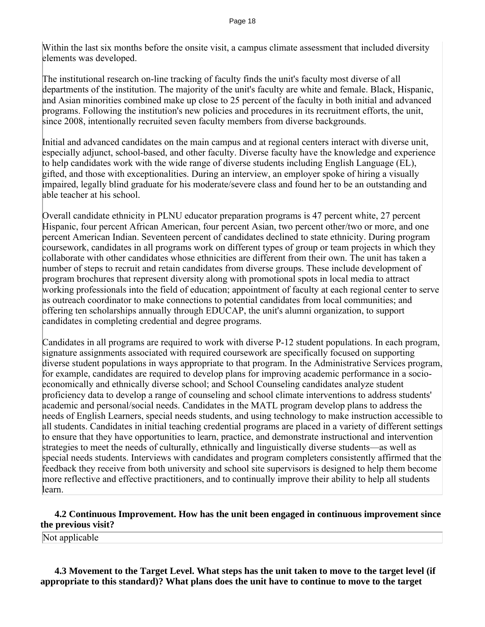Within the last six months before the onsite visit, a campus climate assessment that included diversity elements was developed.

The institutional research on-line tracking of faculty finds the unit's faculty most diverse of all departments of the institution. The majority of the unit's faculty are white and female. Black, Hispanic, and Asian minorities combined make up close to 25 percent of the faculty in both initial and advanced programs. Following the institution's new policies and procedures in its recruitment efforts, the unit, since 2008, intentionally recruited seven faculty members from diverse backgrounds.

Initial and advanced candidates on the main campus and at regional centers interact with diverse unit, especially adjunct, school-based, and other faculty. Diverse faculty have the knowledge and experience to help candidates work with the wide range of diverse students including English Language (EL), gifted, and those with exceptionalities. During an interview, an employer spoke of hiring a visually impaired, legally blind graduate for his moderate/severe class and found her to be an outstanding and able teacher at his school.

Overall candidate ethnicity in PLNU educator preparation programs is 47 percent white, 27 percent Hispanic, four percent African American, four percent Asian, two percent other/two or more, and one percent American Indian. Seventeen percent of candidates declined to state ethnicity. During program coursework, candidates in all programs work on different types of group or team projects in which they collaborate with other candidates whose ethnicities are different from their own. The unit has taken a number of steps to recruit and retain candidates from diverse groups. These include development of program brochures that represent diversity along with promotional spots in local media to attract working professionals into the field of education; appointment of faculty at each regional center to serve as outreach coordinator to make connections to potential candidates from local communities; and offering ten scholarships annually through EDUCAP, the unit's alumni organization, to support candidates in completing credential and degree programs.

Candidates in all programs are required to work with diverse P-12 student populations. In each program, signature assignments associated with required coursework are specifically focused on supporting diverse student populations in ways appropriate to that program. In the Administrative Services program, for example, candidates are required to develop plans for improving academic performance in a socioeconomically and ethnically diverse school; and School Counseling candidates analyze student proficiency data to develop a range of counseling and school climate interventions to address students' academic and personal/social needs. Candidates in the MATL program develop plans to address the needs of English Learners, special needs students, and using technology to make instruction accessible to all students. Candidates in initial teaching credential programs are placed in a variety of different settings to ensure that they have opportunities to learn, practice, and demonstrate instructional and intervention strategies to meet the needs of culturally, ethnically and linguistically diverse students—as well as special needs students. Interviews with candidates and program completers consistently affirmed that the feedback they receive from both university and school site supervisors is designed to help them become more reflective and effective practitioners, and to continually improve their ability to help all students learn.

# **4.2 Continuous Improvement. How has the unit been engaged in continuous improvement since the previous visit?**

Not applicable

 **4.3 Movement to the Target Level. What steps has the unit taken to move to the target level (if appropriate to this standard)? What plans does the unit have to continue to move to the target**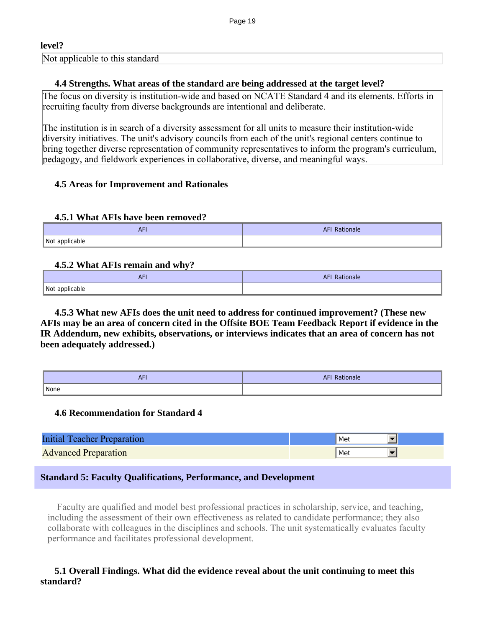# **level?**

Not applicable to this standard

# **4.4 Strengths. What areas of the standard are being addressed at the target level?**

The focus on diversity is institution-wide and based on NCATE Standard 4 and its elements. Efforts in recruiting faculty from diverse backgrounds are intentional and deliberate.

The institution is in search of a diversity assessment for all units to measure their institution-wide diversity initiatives. The unit's advisory councils from each of the unit's regional centers continue to bring together diverse representation of community representatives to inform the program's curriculum, pedagogy, and fieldwork experiences in collaborative, diverse, and meaningful ways.

# **4.5 Areas for Improvement and Rationales**

# **4.5.1 What AFIs have been removed?**

| <b>AFI</b>     | AFI Rationale |
|----------------|---------------|
| Not applicable |               |

# **4.5.2 What AFIs remain and why?**

| <b>AFI</b>          | <b>AFI</b><br>Rationale |
|---------------------|-------------------------|
| Not applicable<br>. |                         |

 **4.5.3 What new AFIs does the unit need to address for continued improvement? (These new AFIs may be an area of concern cited in the Offsite BOE Team Feedback Report if evidence in the IR Addendum, new exhibits, observations, or interviews indicates that an area of concern has not been adequately addressed.)** 

| $\sim$ $ \cdot$<br>AF | <b>AFI Rationale</b> |
|-----------------------|----------------------|
| I None                |                      |

# **4.6 Recommendation for Standard 4**

| Initial Teacher Preparation | Met |
|-----------------------------|-----|
| <b>Advanced Preparation</b> | Met |

# **Standard 5: Faculty Qualifications, Performance, and Development**

 Faculty are qualified and model best professional practices in scholarship, service, and teaching, including the assessment of their own effectiveness as related to candidate performance; they also collaborate with colleagues in the disciplines and schools. The unit systematically evaluates faculty performance and facilitates professional development.

# **5.1 Overall Findings. What did the evidence reveal about the unit continuing to meet this standard?**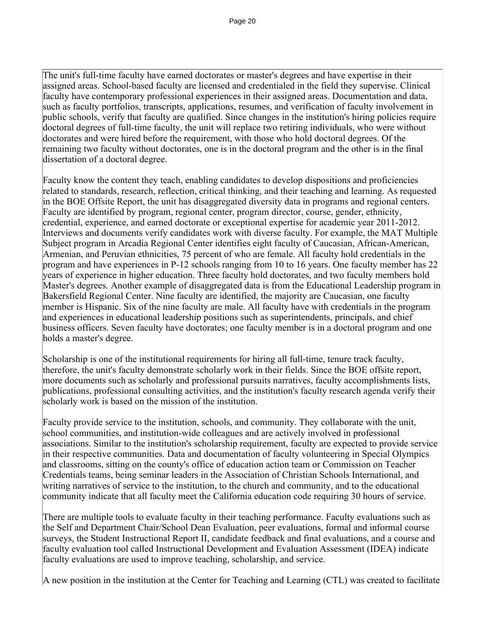The unit's full-time faculty have earned doctorates or master's degrees and have expertise in their assigned areas. School-based faculty are licensed and credentialed in the field they supervise. Clinical faculty have contemporary professional experiences in their assigned areas. Documentation and data, such as faculty portfolios, transcripts, applications, resumes, and verification of faculty involvement in public schools, verify that faculty are qualified. Since changes in the institution's hiring policies require doctoral degrees of full-time faculty, the unit will replace two retiring individuals, who were without doctorates and were hired before the requirement, with those who hold doctoral degrees. Of the remaining two faculty without doctorates, one is in the doctoral program and the other is in the final dissertation of a doctoral degree.

Faculty know the content they teach, enabling candidates to develop dispositions and proficiencies related to standards, research, reflection, critical thinking, and their teaching and learning. As requested in the BOE Offsite Report, the unit has disaggregated diversity data in programs and regional centers. Faculty are identified by program, regional center, program director, course, gender, ethnicity, credential, experience, and earned doctorate or exceptional expertise for academic year 2011-2012. Interviews and documents verify candidates work with diverse faculty. For example, the MAT Multiple Subject program in Arcadia Regional Center identifies eight faculty of Caucasian, African-American, Armenian, and Peruvian ethnicities, 75 percent of who are female. All faculty hold credentials in the program and have experiences in P-12 schools ranging from 10 to 16 years. One faculty member has 22 years of experience in higher education. Three faculty hold doctorates, and two faculty members hold Master's degrees. Another example of disaggregated data is from the Educational Leadership program in Bakersfield Regional Center. Nine faculty are identified, the majority are Caucasian, one faculty member is Hispanic. Six of the nine faculty are male. All faculty have with credentials in the program and experiences in educational leadership positions such as superintendents, principals, and chief business officers. Seven faculty have doctorates; one faculty member is in a doctoral program and one holds a master's degree.

Scholarship is one of the institutional requirements for hiring all full-time, tenure track faculty, therefore, the unit's faculty demonstrate scholarly work in their fields. Since the BOE offsite report, more documents such as scholarly and professional pursuits narratives, faculty accomplishments lists, publications, professional consulting activities, and the institution's faculty research agenda verify their scholarly work is based on the mission of the institution.

Faculty provide service to the institution, schools, and community. They collaborate with the unit, school communities, and institution-wide colleagues and are actively involved in professional associations. Similar to the institution's scholarship requirement, faculty are expected to provide service in their respective communities. Data and documentation of faculty volunteering in Special Olympics and classrooms, sitting on the county's office of education action team or Commission on Teacher Credentials teams, being seminar leaders in the Association of Christian Schools International, and writing narratives of service to the institution, to the church and community, and to the educational community indicate that all faculty meet the California education code requiring 30 hours of service.

There are multiple tools to evaluate faculty in their teaching performance. Faculty evaluations such as the Self and Department Chair/School Dean Evaluation, peer evaluations, formal and informal course surveys, the Student Instructional Report II, candidate feedback and final evaluations, and a course and faculty evaluation tool called Instructional Development and Evaluation Assessment (IDEA) indicate faculty evaluations are used to improve teaching, scholarship, and service.

A new position in the institution at the Center for Teaching and Learning (CTL) was created to facilitate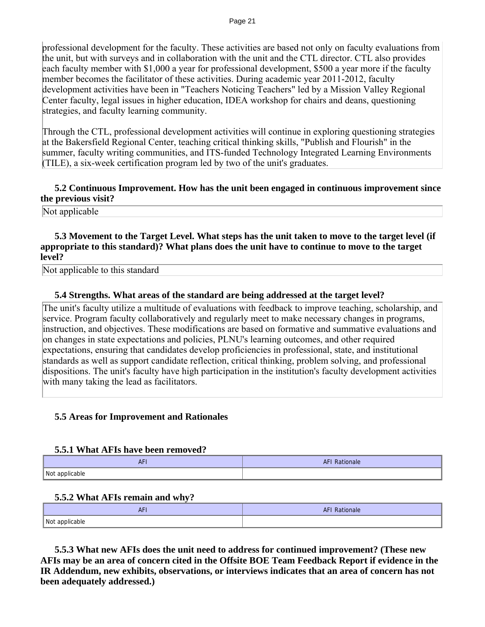professional development for the faculty. These activities are based not only on faculty evaluations from the unit, but with surveys and in collaboration with the unit and the CTL director. CTL also provides each faculty member with \$1,000 a year for professional development, \$500 a year more if the faculty member becomes the facilitator of these activities. During academic year 2011-2012, faculty development activities have been in "Teachers Noticing Teachers" led by a Mission Valley Regional Center faculty, legal issues in higher education, IDEA workshop for chairs and deans, questioning strategies, and faculty learning community.

Through the CTL, professional development activities will continue in exploring questioning strategies at the Bakersfield Regional Center, teaching critical thinking skills, "Publish and Flourish" in the summer, faculty writing communities, and ITS-funded Technology Integrated Learning Environments (TILE), a six-week certification program led by two of the unit's graduates.

# **5.2 Continuous Improvement. How has the unit been engaged in continuous improvement since the previous visit?**

Not applicable

# **5.3 Movement to the Target Level. What steps has the unit taken to move to the target level (if appropriate to this standard)? What plans does the unit have to continue to move to the target level?**

Not applicable to this standard

#### **5.4 Strengths. What areas of the standard are being addressed at the target level?**

The unit's faculty utilize a multitude of evaluations with feedback to improve teaching, scholarship, and service. Program faculty collaboratively and regularly meet to make necessary changes in programs, instruction, and objectives. These modifications are based on formative and summative evaluations and on changes in state expectations and policies, PLNU's learning outcomes, and other required expectations, ensuring that candidates develop proficiencies in professional, state, and institutional standards as well as support candidate reflection, critical thinking, problem solving, and professional dispositions. The unit's faculty have high participation in the institution's faculty development activities with many taking the lead as facilitators.

# **5.5 Areas for Improvement and Rationales**

#### **5.5.1 What AFIs have been removed?**

| <b>AFI</b>     | <b>AFI Rationale</b> |
|----------------|----------------------|
| Not applicable |                      |

#### **5.5.2 What AFIs remain and why?**

| $\overline{ }$ | Rationale |
|----------------|-----------|
| AF L           | Αľ        |
| Not applicable |           |

 **5.5.3 What new AFIs does the unit need to address for continued improvement? (These new AFIs may be an area of concern cited in the Offsite BOE Team Feedback Report if evidence in the IR Addendum, new exhibits, observations, or interviews indicates that an area of concern has not been adequately addressed.)**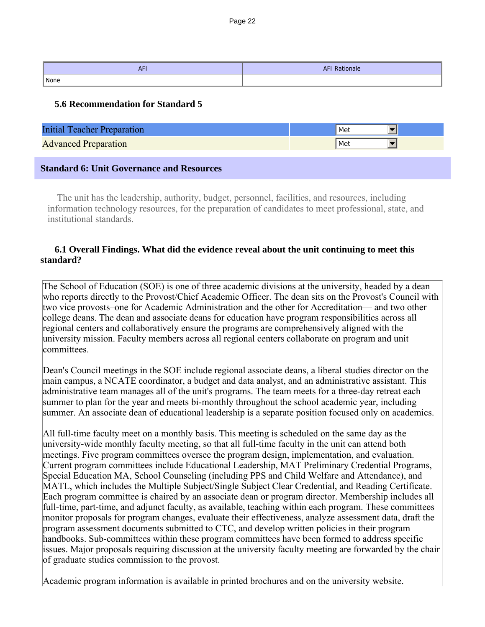| $A \sqsubset B$<br>Ar | <b>AFI Rationale</b> |
|-----------------------|----------------------|
| None                  |                      |

# **5.6 Recommendation for Standard 5**

| <b>Initial Teacher Preparation</b>               | Met   |
|--------------------------------------------------|-------|
| <b>Advanced Preparation</b>                      | l Met |
| <b>Standard 6: Unit Governance and Resources</b> |       |

 The unit has the leadership, authority, budget, personnel, facilities, and resources, including information technology resources, for the preparation of candidates to meet professional, state, and institutional standards.

# **6.1 Overall Findings. What did the evidence reveal about the unit continuing to meet this standard?**

The School of Education (SOE) is one of three academic divisions at the university, headed by a dean who reports directly to the Provost/Chief Academic Officer. The dean sits on the Provost's Council with two vice provosts–one for Academic Administration and the other for Accreditation— and two other college deans. The dean and associate deans for education have program responsibilities across all regional centers and collaboratively ensure the programs are comprehensively aligned with the university mission. Faculty members across all regional centers collaborate on program and unit committees.

Dean's Council meetings in the SOE include regional associate deans, a liberal studies director on the main campus, a NCATE coordinator, a budget and data analyst, and an administrative assistant. This administrative team manages all of the unit's programs. The team meets for a three-day retreat each summer to plan for the year and meets bi-monthly throughout the school academic year, including summer. An associate dean of educational leadership is a separate position focused only on academics.

All full-time faculty meet on a monthly basis. This meeting is scheduled on the same day as the university-wide monthly faculty meeting, so that all full-time faculty in the unit can attend both meetings. Five program committees oversee the program design, implementation, and evaluation. Current program committees include Educational Leadership, MAT Preliminary Credential Programs, Special Education MA, School Counseling (including PPS and Child Welfare and Attendance), and MATL, which includes the Multiple Subject/Single Subject Clear Credential, and Reading Certificate. Each program committee is chaired by an associate dean or program director. Membership includes all full-time, part-time, and adjunct faculty, as available, teaching within each program. These committees monitor proposals for program changes, evaluate their effectiveness, analyze assessment data, draft the program assessment documents submitted to CTC, and develop written policies in their program handbooks. Sub-committees within these program committees have been formed to address specific issues. Major proposals requiring discussion at the university faculty meeting are forwarded by the chair of graduate studies commission to the provost.

Academic program information is available in printed brochures and on the university website.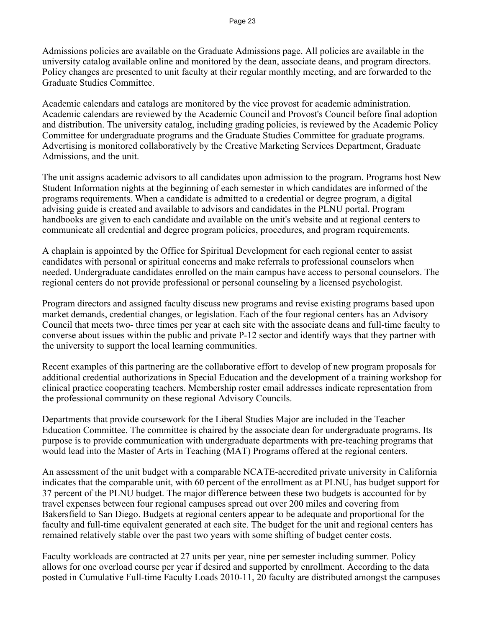Admissions policies are available on the Graduate Admissions page. All policies are available in the university catalog available online and monitored by the dean, associate deans, and program directors. Policy changes are presented to unit faculty at their regular monthly meeting, and are forwarded to the Graduate Studies Committee.

Academic calendars and catalogs are monitored by the vice provost for academic administration. Academic calendars are reviewed by the Academic Council and Provost's Council before final adoption and distribution. The university catalog, including grading policies, is reviewed by the Academic Policy Committee for undergraduate programs and the Graduate Studies Committee for graduate programs. Advertising is monitored collaboratively by the Creative Marketing Services Department, Graduate Admissions, and the unit.

The unit assigns academic advisors to all candidates upon admission to the program. Programs host New Student Information nights at the beginning of each semester in which candidates are informed of the programs requirements. When a candidate is admitted to a credential or degree program, a digital advising guide is created and available to advisors and candidates in the PLNU portal. Program handbooks are given to each candidate and available on the unit's website and at regional centers to communicate all credential and degree program policies, procedures, and program requirements.

A chaplain is appointed by the Office for Spiritual Development for each regional center to assist candidates with personal or spiritual concerns and make referrals to professional counselors when needed. Undergraduate candidates enrolled on the main campus have access to personal counselors. The regional centers do not provide professional or personal counseling by a licensed psychologist.

Program directors and assigned faculty discuss new programs and revise existing programs based upon market demands, credential changes, or legislation. Each of the four regional centers has an Advisory Council that meets two- three times per year at each site with the associate deans and full-time faculty to converse about issues within the public and private P-12 sector and identify ways that they partner with the university to support the local learning communities.

Recent examples of this partnering are the collaborative effort to develop of new program proposals for additional credential authorizations in Special Education and the development of a training workshop for clinical practice cooperating teachers. Membership roster email addresses indicate representation from the professional community on these regional Advisory Councils.

Departments that provide coursework for the Liberal Studies Major are included in the Teacher Education Committee. The committee is chaired by the associate dean for undergraduate programs. Its purpose is to provide communication with undergraduate departments with pre-teaching programs that would lead into the Master of Arts in Teaching (MAT) Programs offered at the regional centers.

An assessment of the unit budget with a comparable NCATE-accredited private university in California indicates that the comparable unit, with 60 percent of the enrollment as at PLNU, has budget support for 37 percent of the PLNU budget. The major difference between these two budgets is accounted for by travel expenses between four regional campuses spread out over 200 miles and covering from Bakersfield to San Diego. Budgets at regional centers appear to be adequate and proportional for the faculty and full-time equivalent generated at each site. The budget for the unit and regional centers has remained relatively stable over the past two years with some shifting of budget center costs.

Faculty workloads are contracted at 27 units per year, nine per semester including summer. Policy allows for one overload course per year if desired and supported by enrollment. According to the data posted in Cumulative Full-time Faculty Loads 2010-11, 20 faculty are distributed amongst the campuses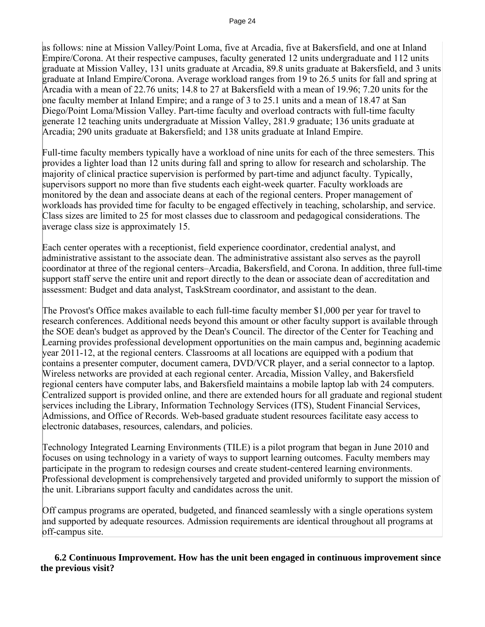as follows: nine at Mission Valley/Point Loma, five at Arcadia, five at Bakersfield, and one at Inland Empire/Corona. At their respective campuses, faculty generated 12 units undergraduate and 112 units graduate at Mission Valley, 131 units graduate at Arcadia, 89.8 units graduate at Bakersfield, and 3 units graduate at Inland Empire/Corona. Average workload ranges from 19 to 26.5 units for fall and spring at Arcadia with a mean of 22.76 units; 14.8 to 27 at Bakersfield with a mean of 19.96; 7.20 units for the one faculty member at Inland Empire; and a range of 3 to 25.1 units and a mean of 18.47 at San Diego/Point Loma/Mission Valley. Part-time faculty and overload contracts with full-time faculty generate 12 teaching units undergraduate at Mission Valley, 281.9 graduate; 136 units graduate at Arcadia; 290 units graduate at Bakersfield; and 138 units graduate at Inland Empire.

Full-time faculty members typically have a workload of nine units for each of the three semesters. This provides a lighter load than 12 units during fall and spring to allow for research and scholarship. The majority of clinical practice supervision is performed by part-time and adjunct faculty. Typically, supervisors support no more than five students each eight-week quarter. Faculty workloads are monitored by the dean and associate deans at each of the regional centers. Proper management of workloads has provided time for faculty to be engaged effectively in teaching, scholarship, and service. Class sizes are limited to 25 for most classes due to classroom and pedagogical considerations. The average class size is approximately 15.

Each center operates with a receptionist, field experience coordinator, credential analyst, and administrative assistant to the associate dean. The administrative assistant also serves as the payroll coordinator at three of the regional centers–Arcadia, Bakersfield, and Corona. In addition, three full-time support staff serve the entire unit and report directly to the dean or associate dean of accreditation and assessment: Budget and data analyst, TaskStream coordinator, and assistant to the dean.

The Provost's Office makes available to each full-time faculty member \$1,000 per year for travel to research conferences. Additional needs beyond this amount or other faculty support is available through the SOE dean's budget as approved by the Dean's Council. The director of the Center for Teaching and Learning provides professional development opportunities on the main campus and, beginning academic year 2011-12, at the regional centers. Classrooms at all locations are equipped with a podium that contains a presenter computer, document camera, DVD/VCR player, and a serial connector to a laptop. Wireless networks are provided at each regional center. Arcadia, Mission Valley, and Bakersfield regional centers have computer labs, and Bakersfield maintains a mobile laptop lab with 24 computers. Centralized support is provided online, and there are extended hours for all graduate and regional student services including the Library, Information Technology Services (ITS), Student Financial Services, Admissions, and Office of Records. Web-based graduate student resources facilitate easy access to electronic databases, resources, calendars, and policies.

Technology Integrated Learning Environments (TILE) is a pilot program that began in June 2010 and focuses on using technology in a variety of ways to support learning outcomes. Faculty members may participate in the program to redesign courses and create student-centered learning environments. Professional development is comprehensively targeted and provided uniformly to support the mission of the unit. Librarians support faculty and candidates across the unit.

Off campus programs are operated, budgeted, and financed seamlessly with a single operations system and supported by adequate resources. Admission requirements are identical throughout all programs at off-campus site.

 **6.2 Continuous Improvement. How has the unit been engaged in continuous improvement since the previous visit?**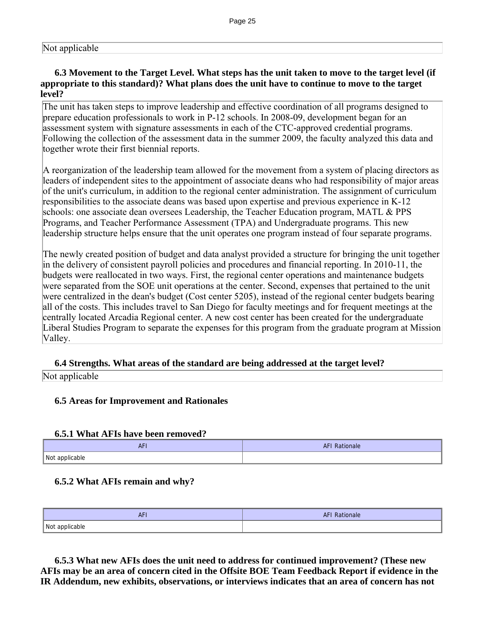# Not applicable

# **6.3 Movement to the Target Level. What steps has the unit taken to move to the target level (if appropriate to this standard)? What plans does the unit have to continue to move to the target level?**

The unit has taken steps to improve leadership and effective coordination of all programs designed to prepare education professionals to work in P-12 schools. In 2008-09, development began for an assessment system with signature assessments in each of the CTC-approved credential programs. Following the collection of the assessment data in the summer 2009, the faculty analyzed this data and together wrote their first biennial reports.

A reorganization of the leadership team allowed for the movement from a system of placing directors as leaders of independent sites to the appointment of associate deans who had responsibility of major areas of the unit's curriculum, in addition to the regional center administration. The assignment of curriculum responsibilities to the associate deans was based upon expertise and previous experience in K-12 schools: one associate dean oversees Leadership, the Teacher Education program, MATL & PPS Programs, and Teacher Performance Assessment (TPA) and Undergraduate programs. This new leadership structure helps ensure that the unit operates one program instead of four separate programs.

The newly created position of budget and data analyst provided a structure for bringing the unit together in the delivery of consistent payroll policies and procedures and financial reporting. In 2010-11, the budgets were reallocated in two ways. First, the regional center operations and maintenance budgets were separated from the SOE unit operations at the center. Second, expenses that pertained to the unit were centralized in the dean's budget (Cost center 5205), instead of the regional center budgets bearing all of the costs. This includes travel to San Diego for faculty meetings and for frequent meetings at the centrally located Arcadia Regional center. A new cost center has been created for the undergraduate Liberal Studies Program to separate the expenses for this program from the graduate program at Mission Valley.

#### **6.4 Strengths. What areas of the standard are being addressed at the target level?**

Not applicable

# **6.5 Areas for Improvement and Rationales**

#### **6.5.1 What AFIs have been removed?**

| AF I           | $\mathcal{L}^{\text{max}}_{\text{max}}$ and $\mathcal{L}^{\text{max}}_{\text{max}}$ and $\mathcal{L}^{\text{max}}_{\text{max}}$<br>Rationale<br><b>AF!</b> |
|----------------|------------------------------------------------------------------------------------------------------------------------------------------------------------|
| Not applicable |                                                                                                                                                            |

#### **6.5.2 What AFIs remain and why?**

| AFI            | Rationale<br>AF' |
|----------------|------------------|
| Not applicable |                  |

 **6.5.3 What new AFIs does the unit need to address for continued improvement? (These new AFIs may be an area of concern cited in the Offsite BOE Team Feedback Report if evidence in the IR Addendum, new exhibits, observations, or interviews indicates that an area of concern has not**